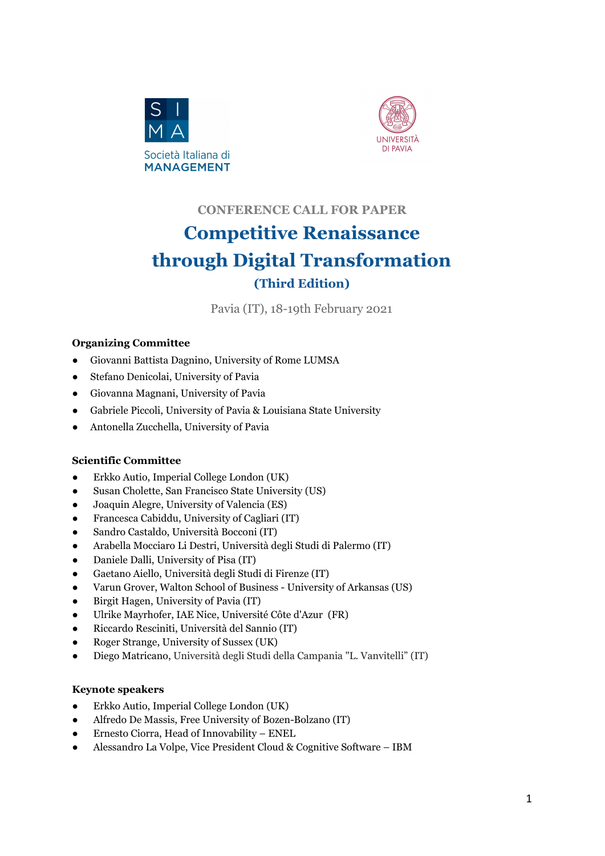



# **CONFERENCE CALL FOR PAPER Competitive Renaissance through Digital Transformation (Third Edition)**

Pavia (IT), 18-19th February 2021

#### **Organizing Committee**

- Giovanni Battista Dagnino, University of Rome LUMSA
- Stefano Denicolai, University of Pavia
- Giovanna Magnani, University of Pavia
- Gabriele Piccoli, University of Pavia & Louisiana State University
- Antonella Zucchella, University of Pavia

#### **Scientific Committee**

- Erkko Autio, Imperial College London (UK)
- Susan Cholette, San Francisco State University (US)
- Joaquin Alegre, University of Valencia (ES)
- Francesca Cabiddu, University of Cagliari (IT)
- Sandro Castaldo, Università Bocconi (IT)
- Arabella Mocciaro Li Destri, Università degli Studi di Palermo (IT)
- Daniele Dalli, University of Pisa (IT)
- Gaetano Aiello, Università degli Studi di Firenze (IT)
- Varun Grover, Walton School of Business University of Arkansas (US)
- Birgit Hagen, University of Pavia (IT)
- Ulrike Mayrhofer, IAE Nice, Université Côte d'Azur (FR)
- Riccardo Resciniti, Università del Sannio (IT)
- Roger Strange, University of Sussex (UK)
- Diego Matricano, Università degli Studi della Campania "L. Vanvitelli" (IT)

#### **Keynote speakers**

- Erkko Autio, Imperial College London (UK)
- Alfredo De Massis, Free University of Bozen-Bolzano (IT)
- Ernesto Ciorra, Head of Innovability ENEL
- Alessandro La Volpe, Vice President Cloud & Cognitive Software IBM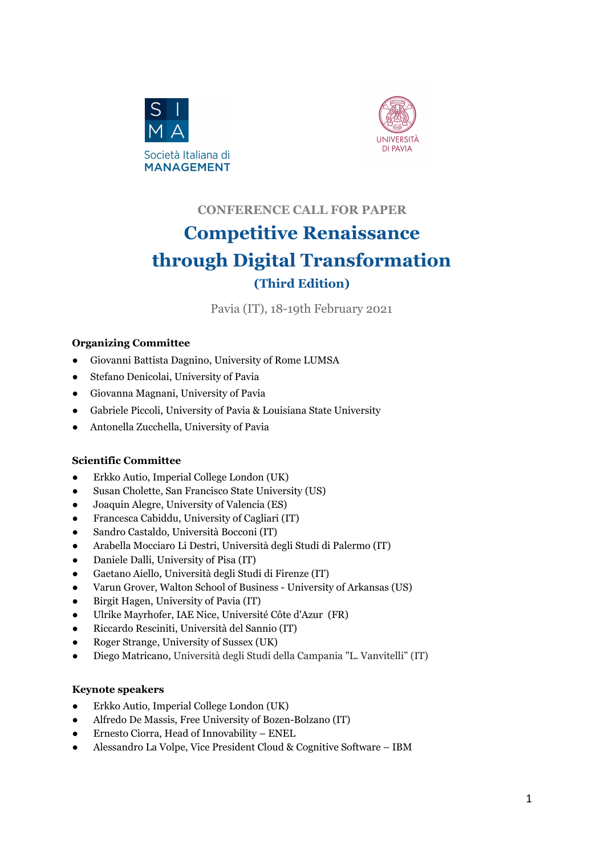## **Conference Theme**

The term Renaissance – 'rebirth' - refers to a period in Europe between the 14th and 17th centuries well known for an extraordinary production of creativity, art and literature. Grounded in renewed attentiveness to human potential, it marked the emergence from the "dark ages." On the heels of one of the great "disruptive innovations" of all time, the printing press, the Renaissance witnessed a **fYbUJqqUbW** cZgNHbW, punctuated by the discovery and exploration of new continents, the growth of commerce – also across countries - the Copernican revolution and a renewed interest in science and discovery.

A few centuries later, the worldwide challenges posed by economic, environmental, societal and-health-related conditions are calling governments and organizations to act with urgency. Nations, companies, and ecosystems need to rethink and re-build their competitiveness to address the enormous challenges they are faced with (McKinsey, 2020). While the Renaissance emphasized the magnificence of human potential, a '*DYK fYDUqdUbWE*Df the Italian and European system must leverage digital technology to 'augment' human talent and organizational capabilities.

Given the existential challenges posed by climate change, special attention goes to the interplay between technological innovation, globalization, and environmental sustainability. Doing business through digital and sustainable processes opens novel opportunities and poses additional challenges to firms who have an international presence and/or are part of complex value chains, often spanning national borders.

Given this background, we call for research papers contributing to the debate on how digital technologies can enable a sustainable renaissance of organizations' competitiveness, considering both SMEs and larger corporations, as well as a new wave of entrepreneurs. We encourage the submission of papers aiming to contribute to a wide range of topics such as (but not limited to):

- Ontology of digital resources, artefacts and technologies;
- Digital technology as a driver for entrepreneurship and competitiveness in a post-COVID-19 world;
- Emerging technologies (e.g. artificial intelligence), new ventures and business model innovation;
- Creation and appropriation of value in the algorithmic economy;
- Competition in digital platforms and ecosystems;
- Relationship between digital innovation, entrepreneurship and environmental sustainability;
- Relationship between digital transformation and international business;
- Industry 4.0, additive manufacturing and new configuration of global factories;
- Digitalization of services, unified commerce and the 'rebirth' of retail.

The conference is organized around three tracks:

- $\%$  7cbZYfYbWH\YaYHfUW/
- &" GA 9gžFYgJ`]YbWžUbX<sup>8</sup>][]HJ`HfUbgZcfa UHcbHfUW\_/\*

## *'"* 8][]HJ =bbcj UHcb UbXGi cHJ|bUVYFYbU|cpUbWHfUVL"

We intend for the conference to be held physically, while ensuring the highest standard of health safety. We remain flexible as needed and we'll consider moving to an online and/or "blended" approach as needed).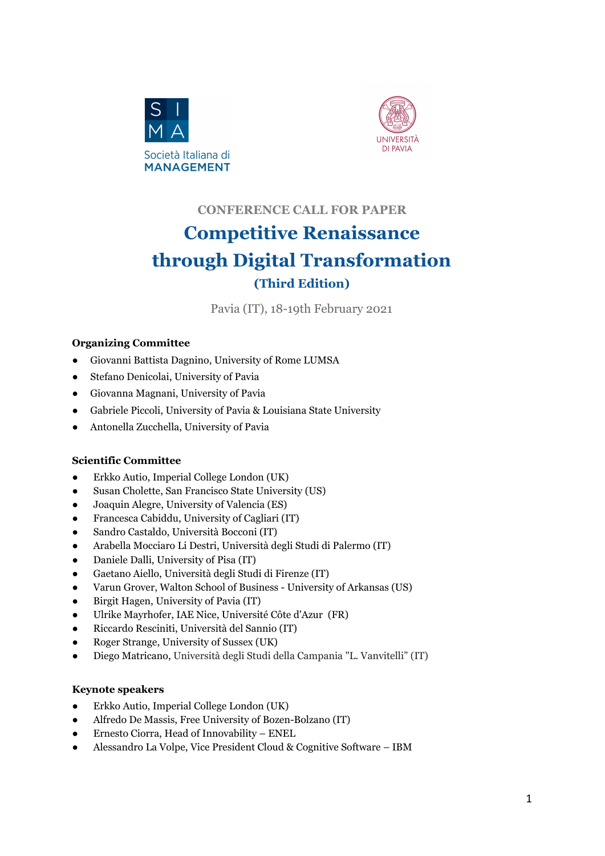### **Connecting academic research with the management practice agenda**

Many have lamented the disconnect between academic research and practice.Yet, academics should have the market cornered when it comes to anticipating the questions strategists and managers grapple with – particularly in times of upheaval. Much of our professional life is spent studying theoretical phenomena and attempting to push forward our own and our colleagues' understanding of the phenomena we study. When this background is brought to bear on timely topics of interest to executives, academics can serve as the leading edge of the reinsurance spear. But this objective can only be achieved by engaging deeply with executives. We want to lead in this effort and invite papers that bridge the gap between academia and practice. We take inspiration from the goals and aims of the MIS Quarterly Executive<sup>1</sup> and will implement the following innovations:

- a) Each paper must have two abstracts. Each one should be self-standing and readable independently. The first one is a traditional academic abstract. The second one is a 'practice-oriented' version highlighting managerial implications and recommendations for practitioners stemming from the paper's findings. The second abstract will be evaluated by a panel of top managers from leading companies.
- b) Every parallel session will showcase 3 presentations from scholar-lead teams and 1 presentation from a practitioner lead paper. Such design seeks cross-pollination of ideas from both communities.
- c) Authors of papers that have the potential to offer actionable, timely and clear recommendations to executives and receive strong endorsements for their practice oriented abstracts, will be invited to submit to the  $A = GEi$  UfHf m9I WUHJI Y.

### **Publication opportunities and Awards**

The conference is in partnership with the following journals and related publication opportunities:

- **European Management Journal - Management Focus Section**, tentatively published by end of 2021; 2
- **MIS Quarterly Executive - Special Section** on the theme of the conference for qualifying invited papers.
- **▪ Technovation - Special Issue,** tentatively published by the end of 2021.
- **▪ Technology Analysis & Strategic Management - Special Issue** on investigating predictors, outcomes, and dynamics of technology-driven processes addressed by young innovative companies.

A best paper award will be granted by a jury consisting of both scholars and practitioners. The Conference Best Paper Award will be awarded at the conference. A networking session with Editors will be held.

Furthermore, three selected contributions will have the opportunity to be adapted and published as articles in the magazine **Wired**. The goal is to give visibility, also outside the scientific community, to the best outcomes of the conference.

<sup>&</sup>lt;sup>1</sup> Such aims and efforts are detailed in the editorials freely available at the following addresses: https://aisel.aisnet.org/misqe/vol18/iss1/1/ ; https://aisel.aisnet.org/misqe/vol18/iss2/1/; https://aisel.aisnet.org/misqe/vol18/iss3/1/; https://aisel.aisnet.org/misqe/vol19/iss1/1/

<sup>2</sup> A 'Management Focus section' in EMJ is similar to a special issue, but it consists of about 3-4 contributions, plus an editorial embedded, in a regular issue.